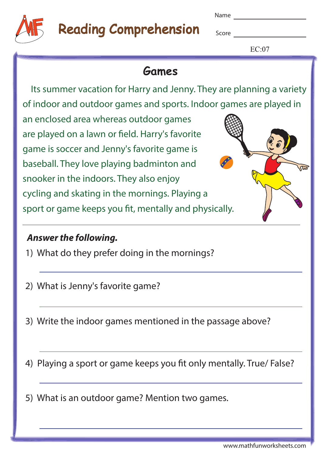# Reading Comprehension

Name

Score **Score Score** 

 $EC:07$ 

## **Games**

 Its summer vacation for Harry and Jenny. They are planning a variety of indoor and outdoor games and sports. Indoor games are played in

an enclosed area whereas outdoor games are played on a lawn or field. Harry's favorite game is soccer and Jenny's favorite game is baseball. They love playing badminton and snooker in the indoors. They also enjoy cycling and skating in the mornings. Playing a sport or game keeps you fit, mentally and physically.

#### **Answer the following.**

- 1) What do they prefer doing in the mornings?
- 2) What is Jenny's favorite game?
- 3) Write the indoor games mentioned in the passage above?
- 4) Playing a sport or game keeps you fit only mentally. True/ False?
- 5) What is an outdoor game? Mention two games.